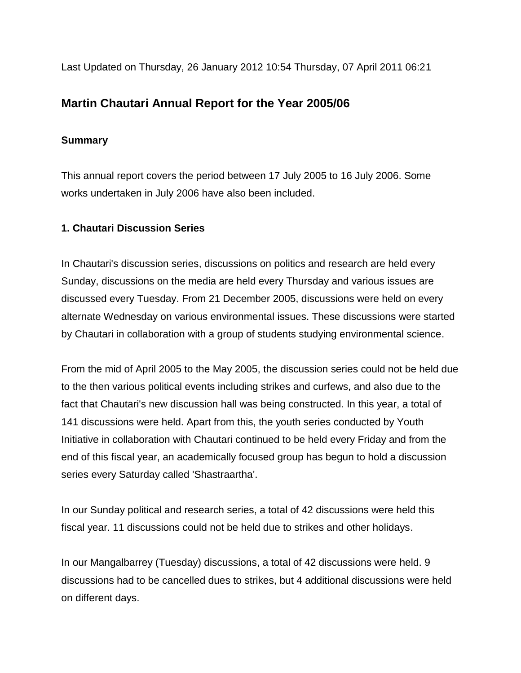Last Updated on Thursday, 26 January 2012 10:54 Thursday, 07 April 2011 06:21

# **Martin Chautari Annual Report for the Year 2005/06**

# **Summary**

This annual report covers the period between 17 July 2005 to 16 July 2006. Some works undertaken in July 2006 have also been included.

# **1. Chautari Discussion Series**

In Chautari's discussion series, discussions on politics and research are held every Sunday, discussions on the media are held every Thursday and various issues are discussed every Tuesday. From 21 December 2005, discussions were held on every alternate Wednesday on various environmental issues. These discussions were started by Chautari in collaboration with a group of students studying environmental science.

From the mid of April 2005 to the May 2005, the discussion series could not be held due to the then various political events including strikes and curfews, and also due to the fact that Chautari's new discussion hall was being constructed. In this year, a total of 141 discussions were held. Apart from this, the youth series conducted by Youth Initiative in collaboration with Chautari continued to be held every Friday and from the end of this fiscal year, an academically focused group has begun to hold a discussion series every Saturday called 'Shastraartha'.

In our Sunday political and research series, a total of 42 discussions were held this fiscal year. 11 discussions could not be held due to strikes and other holidays.

In our Mangalbarrey (Tuesday) discussions, a total of 42 discussions were held. 9 discussions had to be cancelled dues to strikes, but 4 additional discussions were held on different days.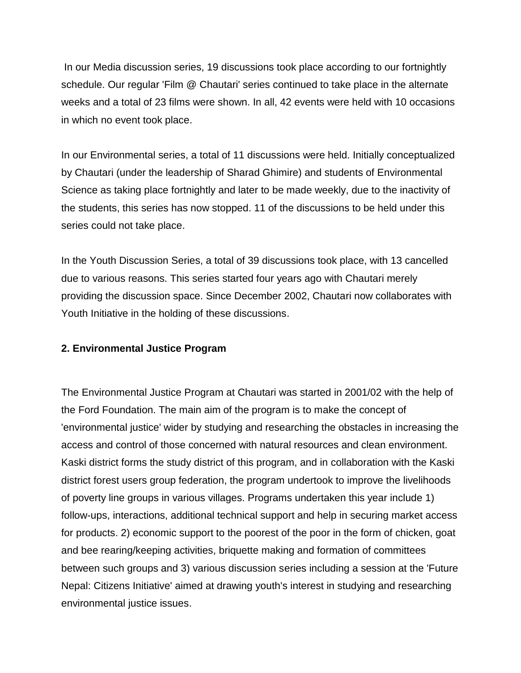In our Media discussion series, 19 discussions took place according to our fortnightly schedule. Our regular 'Film @ Chautari' series continued to take place in the alternate weeks and a total of 23 films were shown. In all, 42 events were held with 10 occasions in which no event took place.

In our Environmental series, a total of 11 discussions were held. Initially conceptualized by Chautari (under the leadership of Sharad Ghimire) and students of Environmental Science as taking place fortnightly and later to be made weekly, due to the inactivity of the students, this series has now stopped. 11 of the discussions to be held under this series could not take place.

In the Youth Discussion Series, a total of 39 discussions took place, with 13 cancelled due to various reasons. This series started four years ago with Chautari merely providing the discussion space. Since December 2002, Chautari now collaborates with Youth Initiative in the holding of these discussions.

#### **2. Environmental Justice Program**

The Environmental Justice Program at Chautari was started in 2001/02 with the help of the Ford Foundation. The main aim of the program is to make the concept of 'environmental justice' wider by studying and researching the obstacles in increasing the access and control of those concerned with natural resources and clean environment. Kaski district forms the study district of this program, and in collaboration with the Kaski district forest users group federation, the program undertook to improve the livelihoods of poverty line groups in various villages. Programs undertaken this year include 1) follow-ups, interactions, additional technical support and help in securing market access for products. 2) economic support to the poorest of the poor in the form of chicken, goat and bee rearing/keeping activities, briquette making and formation of committees between such groups and 3) various discussion series including a session at the 'Future Nepal: Citizens Initiative' aimed at drawing youth's interest in studying and researching environmental justice issues.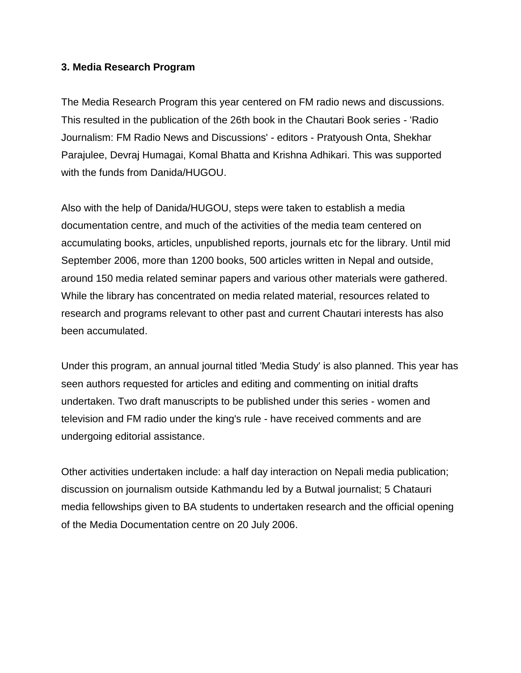#### **3. Media Research Program**

The Media Research Program this year centered on FM radio news and discussions. This resulted in the publication of the 26th book in the Chautari Book series - 'Radio Journalism: FM Radio News and Discussions' - editors - Pratyoush Onta, Shekhar Parajulee, Devraj Humagai, Komal Bhatta and Krishna Adhikari. This was supported with the funds from Danida/HUGOU.

Also with the help of Danida/HUGOU, steps were taken to establish a media documentation centre, and much of the activities of the media team centered on accumulating books, articles, unpublished reports, journals etc for the library. Until mid September 2006, more than 1200 books, 500 articles written in Nepal and outside, around 150 media related seminar papers and various other materials were gathered. While the library has concentrated on media related material, resources related to research and programs relevant to other past and current Chautari interests has also been accumulated.

Under this program, an annual journal titled 'Media Study' is also planned. This year has seen authors requested for articles and editing and commenting on initial drafts undertaken. Two draft manuscripts to be published under this series - women and television and FM radio under the king's rule - have received comments and are undergoing editorial assistance.

Other activities undertaken include: a half day interaction on Nepali media publication; discussion on journalism outside Kathmandu led by a Butwal journalist; 5 Chatauri media fellowships given to BA students to undertaken research and the official opening of the Media Documentation centre on 20 July 2006.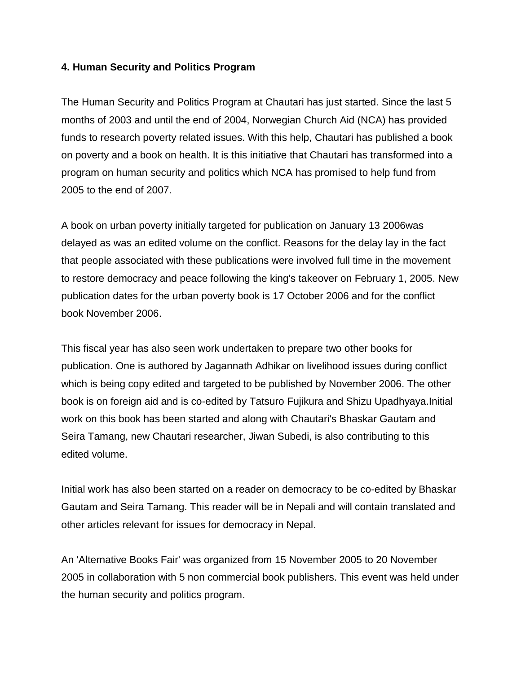#### **4. Human Security and Politics Program**

The Human Security and Politics Program at Chautari has just started. Since the last 5 months of 2003 and until the end of 2004, Norwegian Church Aid (NCA) has provided funds to research poverty related issues. With this help, Chautari has published a book on poverty and a book on health. It is this initiative that Chautari has transformed into a program on human security and politics which NCA has promised to help fund from 2005 to the end of 2007.

A book on urban poverty initially targeted for publication on January 13 2006was delayed as was an edited volume on the conflict. Reasons for the delay lay in the fact that people associated with these publications were involved full time in the movement to restore democracy and peace following the king's takeover on February 1, 2005. New publication dates for the urban poverty book is 17 October 2006 and for the conflict book November 2006.

This fiscal year has also seen work undertaken to prepare two other books for publication. One is authored by Jagannath Adhikar on livelihood issues during conflict which is being copy edited and targeted to be published by November 2006. The other book is on foreign aid and is co-edited by Tatsuro Fujikura and Shizu Upadhyaya.Initial work on this book has been started and along with Chautari's Bhaskar Gautam and Seira Tamang, new Chautari researcher, Jiwan Subedi, is also contributing to this edited volume.

Initial work has also been started on a reader on democracy to be co-edited by Bhaskar Gautam and Seira Tamang. This reader will be in Nepali and will contain translated and other articles relevant for issues for democracy in Nepal.

An 'Alternative Books Fair' was organized from 15 November 2005 to 20 November 2005 in collaboration with 5 non commercial book publishers. This event was held under the human security and politics program.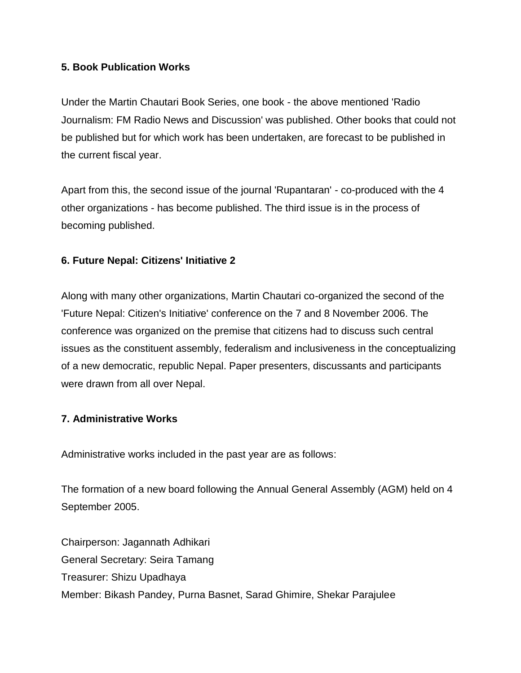### **5. Book Publication Works**

Under the Martin Chautari Book Series, one book - the above mentioned 'Radio Journalism: FM Radio News and Discussion' was published. Other books that could not be published but for which work has been undertaken, are forecast to be published in the current fiscal year.

Apart from this, the second issue of the journal 'Rupantaran' - co-produced with the 4 other organizations - has become published. The third issue is in the process of becoming published.

### **6. Future Nepal: Citizens' Initiative 2**

Along with many other organizations, Martin Chautari co-organized the second of the 'Future Nepal: Citizen's Initiative' conference on the 7 and 8 November 2006. The conference was organized on the premise that citizens had to discuss such central issues as the constituent assembly, federalism and inclusiveness in the conceptualizing of a new democratic, republic Nepal. Paper presenters, discussants and participants were drawn from all over Nepal.

#### **7. Administrative Works**

Administrative works included in the past year are as follows:

The formation of a new board following the Annual General Assembly (AGM) held on 4 September 2005.

Chairperson: Jagannath Adhikari General Secretary: Seira Tamang Treasurer: Shizu Upadhaya Member: Bikash Pandey, Purna Basnet, Sarad Ghimire, Shekar Parajulee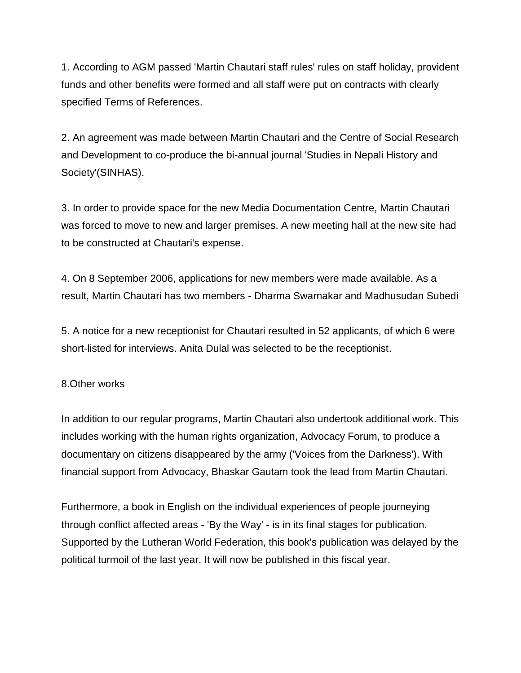1. According to AGM passed 'Martin Chautari staff rules' rules on staff holiday, provident funds and other benefits were formed and all staff were put on contracts with clearly specified Terms of References.

2. An agreement was made between Martin Chautari and the Centre of Social Research and Development to co-produce the bi-annual journal 'Studies in Nepali History and Society'(SINHAS).

3. In order to provide space for the new Media Documentation Centre, Martin Chautari was forced to move to new and larger premises. A new meeting hall at the new site had to be constructed at Chautari's expense.

4. On 8 September 2006, applications for new members were made available. As a result, Martin Chautari has two members - Dharma Swarnakar and Madhusudan Subedi

5. A notice for a new receptionist for Chautari resulted in 52 applicants, of which 6 were short-listed for interviews. Anita Dulal was selected to be the receptionist.

#### 8.Other works

In addition to our regular programs, Martin Chautari also undertook additional work. This includes working with the human rights organization, Advocacy Forum, to produce a documentary on citizens disappeared by the army ('Voices from the Darkness'). With financial support from Advocacy, Bhaskar Gautam took the lead from Martin Chautari.

Furthermore, a book in English on the individual experiences of people journeying through conflict affected areas - 'By the Way' - is in its final stages for publication. Supported by the Lutheran World Federation, this book's publication was delayed by the political turmoil of the last year. It will now be published in this fiscal year.